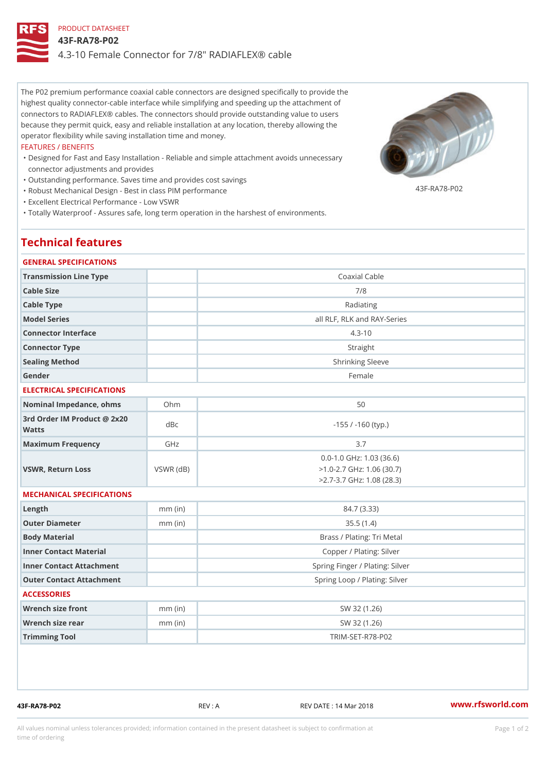## PRODUCT DATASHEET 43F-RA78-P02 4.3-10 Female Connector for 7/8" RADIAFLEX® cable

The P02 premium performance coaxial cable connectors are designed specifically to provide the highest quality connector-cable interface while simplifying and speeding up the attachment of connectors to RADIAFLEX® cables. The connectors should provide outstanding value to users because they permit quick, easy and reliable installation at any location, thereby allowing the operator flexibility while saving installation time and money.

#### FEATURES / BENEFITS

- Designed for Fast and Easy Installation Reliable and simple attachment avoids unnecessary " connector adjustments and provides
- "Outstanding performance. Saves time and provides cost savings

"Robust Mechanical Design - Best in class PIM performance

43F-RA78-P02

"Excellent Electrical Performance - Low VSWR

"Totally Waterproof - Assures safe, long term operation in the harshest of environments.

# Technical features

## GENERAL SPECIFICATIONS

| GENERAL SPECIFICATIONS                      |                 |                                                                                                |  |
|---------------------------------------------|-----------------|------------------------------------------------------------------------------------------------|--|
| Transmission Line Type                      |                 | Coaxial Cable                                                                                  |  |
| Cable Size                                  |                 | 7/8                                                                                            |  |
| Cable Type                                  |                 | Radiating                                                                                      |  |
| Model Series                                |                 | all RLF, RLK and RAY-Series                                                                    |  |
| Connector Interface                         |                 | $4.3 - 10$                                                                                     |  |
| Connector Type                              |                 | Straight                                                                                       |  |
| Sealing Method                              |                 | Shrinking Sleeve                                                                               |  |
| Gender                                      |                 | Female                                                                                         |  |
| ELECTRICAL SPECIFICATIONS                   |                 |                                                                                                |  |
| Nominal Impedance, ohins Ohm                |                 | 50                                                                                             |  |
| 3rd Order IM Product @ 2x20<br>dBc<br>Watts |                 | $-155$ / $-160$ (typ.)                                                                         |  |
| Maximum Frequency                           | GHz             | 3.7                                                                                            |  |
| VSWR, Return Loss                           | $VSWR$ ( $dB$ ) | $0.0 - 1.0$ GHz: 1.03 (36.6)<br>$>1.0 - 2.7$ GHz: 1.06 (30.7)<br>$>2.7 - 3.7$ GHz: 1.08 (28.3) |  |
| MECHANICAL SPECIFICATIONS                   |                 |                                                                                                |  |
| $L$ ength                                   | $mm$ (in)       | 84.7 (3.33)                                                                                    |  |
| Outer Diameter                              | $mm$ (in)       | 35.5(1.4)                                                                                      |  |
| Body Material                               |                 | Brass / Plating: Tri Metal                                                                     |  |
| Inner Contact Material                      |                 | Copper / Plating: Silver                                                                       |  |
| Inner Contact Attachment                    |                 | Spring Finger / Plating: Silver                                                                |  |
| Outer Contact Attachment                    |                 | Spring Loop / Plating: Silver                                                                  |  |
| <b>ACCESSORIES</b>                          |                 |                                                                                                |  |
| Wrench size front                           | $mm$ (in)       | SW 32 (1.26)                                                                                   |  |
| Wrench size rear                            | $mm$ (in)       | SW 32 (1.26)                                                                                   |  |
| Trimming Tool                               |                 | TRIM-SET-R78-P02                                                                               |  |
|                                             |                 |                                                                                                |  |

43F-RA78-P02 REV : A REV DATE : 14 Mar 2018 [www.](https://www.rfsworld.com)rfsworld.com

All values nominal unless tolerances provided; information contained in the present datasheet is subject to Pcapgeign manation time of ordering